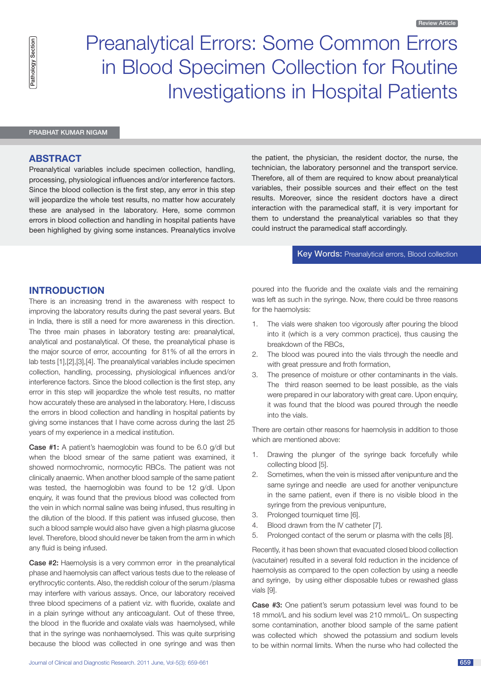# Preanalytical Errors: Some Common Errors in Blood Specimen Collection for Routine Investigations in Hospital Patients

### Prabhat Kumar Nigam

## **Abstract**

Preanalytical variables include specimen collection, handling, processing, physiological influences and/or interference factors. Since the blood collection is the first step, any error in this step will jeopardize the whole test results, no matter how accurately these are analysed in the laboratory. Here, some common errors in blood collection and handling in hospital patients have been highlighed by giving some instances. Preanalytics involve the patient, the physician, the resident doctor, the nurse, the technician, the laboratory personnel and the transport service. Therefore, all of them are required to know about preanalytical variables, their possible sources and their effect on the test results. Moreover, since the resident doctors have a direct interaction with the paramedical staff, it is very important for them to understand the preanalytical variables so that they could instruct the paramedical staff accordingly.

## **Key Words: Preanalytical errors, Blood collection**

# **Introduction**

There is an increasing trend in the awareness with respect to improving the laboratory results during the past several years. But in India, there is still a need for more awareness in this direction. The three main phases in laboratory testing are: preanalytical, analytical and postanalytical. Of these, the preanalytical phase is the major source of error, accounting for 81% of all the errors in lab tests [1],[2],[3],[4]. The preanalytical variables include specimen collection, handling, processing, physiological influences and/or interference factors. Since the blood collection is the first step, any error in this step will jeopardize the whole test results, no matter how accurately these are analysed in the laboratory. Here, I discuss the errors in blood collection and handling in hospital patients by giving some instances that I have come across during the last 25 years of my experience in a medical institution.

Case #1: A patient's haemoglobin was found to be 6.0 g/dl but when the blood smear of the same patient was examined, it showed normochromic, normocytic RBCs. The patient was not clinically anaemic. When another blood sample of the same patient was tested, the haemoglobin was found to be 12 g/dl. Upon enquiry, it was found that the previous blood was collected from the vein in which normal saline was being infused, thus resulting in the dilution of the blood. If this patient was infused glucose, then such a blood sample would also have given a high plasma glucose level. Therefore, blood should never be taken from the arm in which any fluid is being infused.

Case #2: Haemolysis is a very common error in the preanalytical phase and haemolysis can affect various tests due to the release of erythrocytic contents. Also, the reddish colour of the serum /plasma may interfere with various assays. Once, our laboratory received three blood specimens of a patient viz. with fluoride, oxalate and in a plain syringe without any anticoagulant. Out of these three, the blood in the fluoride and oxalate vials was haemolysed, while that in the syringe was nonhaemolysed. This was quite surprising because the blood was collected in one syringe and was then poured into the fluoride and the oxalate vials and the remaining was left as such in the syringe. Now, there could be three reasons for the haemolysis:

- 1. The vials were shaken too vigorously after pouring the blood into it (which is a very common practice), thus causing the breakdown of the RBCs,
- 2. The blood was poured into the vials through the needle and with great pressure and froth formation,
- 3. The presence of moisture or other contaminants in the vials. The third reason seemed to be least possible, as the vials were prepared in our laboratory with great care. Upon enquiry, it was found that the blood was poured through the needle into the vials.

There are certain other reasons for haemolysis in addition to those which are mentioned above:

- 1. Drawing the plunger of the syringe back forcefully while collecting blood [5].
- 2. Sometimes, when the vein is missed after venipunture and the same syringe and needle are used for another venipuncture in the same patient, even if there is no visible blood in the syringe from the previous venipunture,
- 3. Prolonged tourniquet time [6].
- 4. Blood drawn from the IV catheter [7].
- 5. Prolonged contact of the serum or plasma with the cells [8].

Recently, it has been shown that evacuated closed blood collection (vacutainer) resulted in a several fold reduction in the incidence of haemolysis as compared to the open collection by using a needle and syringe, by using either disposable tubes or rewashed glass vials [9].

Case #3: One patient's serum potassium level was found to be 18 mmol/L and his sodium level was 210 mmol/L. On suspecting some contamination, another blood sample of the same patient was collected which showed the potassium and sodium levels to be within normal limits. When the nurse who had collected the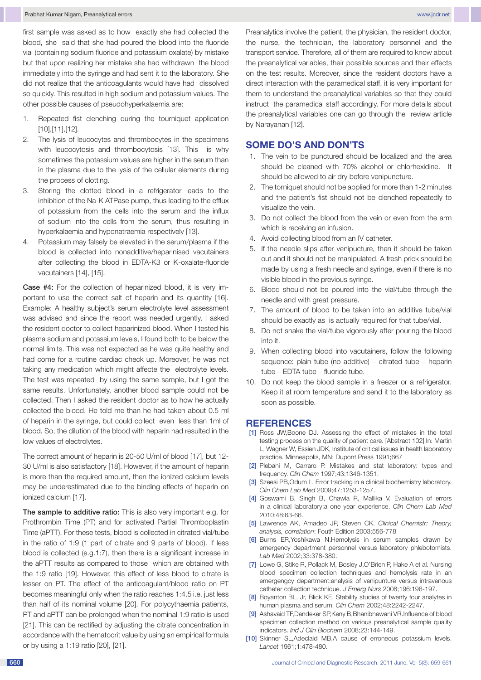first sample was asked as to how exactly she had collected the blood, she said that she had poured the blood into the fluoride vial (containing sodium fluoride and potassium oxalate) by mistake but that upon realizing her mistake she had withdrawn the blood immediately into the syringe and had sent it to the laboratory. She did not realize that the anticoagulants would have had dissolved so quickly. This resulted in high sodium and potassium values. The other possible causes of pseudohyperkalaemia are:

- 1. Repeated fist clenching during the tourniquet application [10],[11],[12].
- 2. The lysis of leucocytes and thrombocytes in the specimens with leucocytosis and thrombocytosis [13]. This is why sometimes the potassium values are higher in the serum than in the plasma due to the lysis of the cellular elements during the process of clotting.
- 3. Storing the clotted blood in a refrigerator leads to the inhibition of the Na-K ATPase pump, thus leading to the efflux of potassium from the cells into the serum and the influx of sodium into the cells from the serum, thus resulting in hyperkalaemia and hyponatraemia respectively [13].
- Potassium may falsely be elevated in the serum/plasma if the blood is collected into nonadditive/heparinised vacutainers after collecting the blood in EDTA-K3 or K-oxalate-fluoride vacutainers [14], [15].

Case #4: For the collection of heparinized blood, it is very important to use the correct salt of heparin and its quantity [16]. Example: A healthy subject's serum electrolyte level assessment was advised and since the report was needed urgently, I asked the resident doctor to collect heparinized blood. When I tested his plasma sodium and potassium levels, I found both to be below the normal limits. This was not expected as he was quite healthy and had come for a routine cardiac check up. Moreover, he was not taking any medication which might affecte the electrolyte levels. The test was repeated by using the same sample, but I got the same results. Unfortunately, another blood sample could not be collected. Then I asked the resident doctor as to how he actually collected the blood. He told me than he had taken about 0.5 ml of heparin in the syringe, but could collect even less than 1ml of blood. So, the dilution of the blood with heparin had resulted in the low values of electrolytes.

The correct amount of heparin is 20-50 U/ml of blood [17], but 12- 30 U/ml is also satisfactory [18]. However, if the amount of heparin is more than the required amount, then the ionized calcium levels may be underestimated due to the binding effects of heparin on ionized calcium [17].

The sample to additive ratio: This is also very important e.g. for Prothrombin Time (PT) and for activated Partial Thromboplastin Time (aPTT). For these tests, blood is collected in citrated vial/tube in the ratio of 1:9 (1 part of citrate and 9 parts of blood). If less blood is collected (e.g.1:7), then there is a significant increase in the aPTT results as compared to those which are obtained with the 1:9 ratio [19]. However, this effect of less blood to citrate is lesser on PT. The effect of the anticoagulant/blood ratio on PT becomes meaningful only when the ratio reaches 1:4.5 i.e. just less than half of its nominal volume [20]. For polycythaemia patients, PT and aPTT can be prolonged when the nominal 1:9 ratio is used [21]. This can be rectified by adjusting the citrate concentration in accordance with the hematocrit value by using an empirical formula or by using a 1:19 ratio [20], [21].

Preanalytics involve the patient, the physician, the resident doctor, the nurse, the technician, the laboratory personnel and the transport service. Therefore, all of them are required to know about the preanalytical variables, their possible sources and their effects on the test results. Moreover, since the resident doctors have a direct interaction with the paramedical staff, it is very important for them to understand the preanalytical variables so that they could instruct the paramedical staff accordingly. For more details about the preanalytical variables one can go through the review article by Narayanan [12].

# **Some Do's and Don'ts**

- 1. The vein to be punctured should be localized and the area should be cleaned with 70% alcohol or chlorhexidine. It should be allowed to air dry before venipuncture.
- 2. The torniquet should not be applied for more than 1-2 minutes and the patient's fist should not be clenched repeatedly to visualize the vein.
- 3. Do not collect the blood from the vein or even from the arm which is receiving an infusion.
- 4. Avoid collecting blood from an IV catheter.
- 5. If the needle slips after venipucture, then it should be taken out and it should not be manipulated. A fresh prick should be made by using a fresh needle and syringe, even if there is no visible blood in the previous syringe.
- 6. Blood should not be poured into the vial/tube through the needle and with great pressure.
- 7. The amount of blood to be taken into an additive tube/vial should be exactly as is actually required for that tube/vial.
- 8. Do not shake the vial/tube vigorously after pouring the blood into it.
- 9. When collecting blood into vacutainers, follow the following sequence: plain tube (no additive) – citrated tube – heparin tube – EDTA tube – fluoride tube.
- 10. Do not keep the blood sample in a freezer or a refrigerator. Keep it at room temperature and send it to the laboratory as soon as possible.

#### **References**

- [1] Ross JW, Boone DJ. Assessing the effect of mistakes in the total testing process on the quality of patient care. [Abstract 102] In: Martin L, Wagner W, Essien JDK, Institute of critical issues in health laboratory practice. Minneapolis, MN: Dupont Press 1991;667
- [2] Plebani M, Carraro P. Mistakes and stat laboratory: types and frequency. *Clin Chem* 1997;43:1346-1351.
- [3] Szeesi PB, Odum L. Error tracking in a clinical biochemistry laboratory. *Clin Chem Lab Med* 2009;47:1253-1257.
- [4] Goswami B, Singh B, Chawla R, Mallika V. Evaluation of errors in a clinical laboratory:a one year experience. *Clin Chem Lab Med*  2010;48:63-66.
- [5] Lawrence AK, Amadeo JP, Steven CK. *Clinical Chemistr: Theory, analysis, correlation*: Fouth Edition 2003;556-778
- [6] Burns ER,Yoshikawa N.Hemolysis in serum samples drawn by emergency department personnel versus laboratory phlebotomists. *Lab Med* 2002;33:378-380.
- [7] Lowe G, Stike R, Pollack M, Bosley J, O'Brien P, Hake A et al. Nursing blood specimen collection techniques and hemolysis rate in an emergengcy department:analysis of venipunture versus intravenous catheter collection technique. *J Emerg Nurs* 2008;196:196-197.
- [8] Boyanton BL. Jr, Blick KE, Stability studies of twenty four analytes in human plasma and serum. *Clin Chem* 2002;48:2242-2247.
- [9] Ashavaid TF,Dandeker SP,Keny B,Bhanibhawani VR.Influence of blood specimen collection method on various preanalytical sample quality indicators. *Ind J Clin Biochem* 2008;23:144-149.
- [10] Skinner SL, Adeclaid MB, A cause of erroneous potassium levels. *Lancet* 1961;1:478-480.